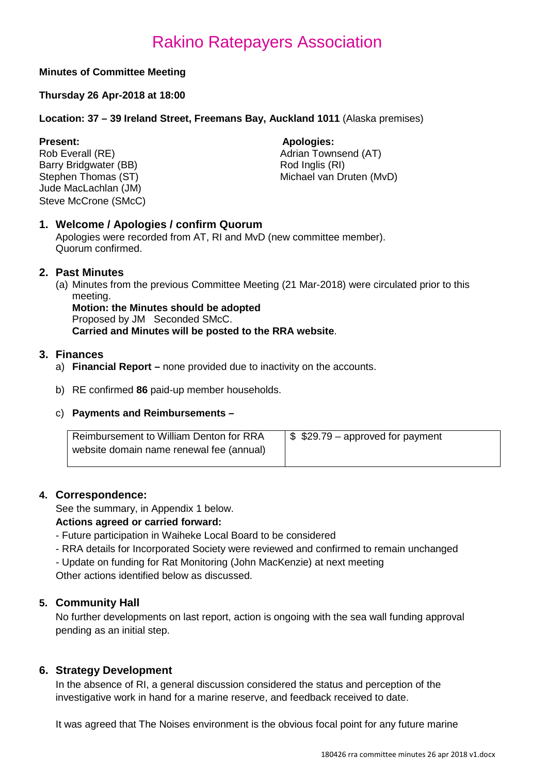#### **Minutes of Committee Meeting**

#### **Thursday 26 Apr-2018 at 18:00**

#### **Location: 37 – 39 Ireland Street, Freemans Bay, Auckland 1011** (Alaska premises)

Barry Bridgwater (BB)<br>Stephen Thomas (ST) Jude MacLachlan (JM) Steve McCrone (SMcC)

**Present: Apologies: Apologies: Apologies: Apologies: Adrian Town** Adrian Townsend (AT)<br>Rod Inglis (RI) Michael van Druten (MvD)

#### **1. Welcome / Apologies / confirm Quorum**

Apologies were recorded from AT, RI and MvD (new committee member). Quorum confirmed.

#### **2. Past Minutes**

(a) Minutes from the previous Committee Meeting (21 Mar-2018) were circulated prior to this meeting.

**Motion: the Minutes should be adopted**

Proposed by JM Seconded SMcC.

**Carried and Minutes will be posted to the RRA website**.

#### **3. Finances**

- a) **Financial Report –** none provided due to inactivity on the accounts.
- b) RE confirmed **86** paid-up member households.

#### c) **Payments and Reimbursements –**

| Reimbursement to William Denton for RRA  | $\frac{1}{2}$ \$29.79 – approved for payment |
|------------------------------------------|----------------------------------------------|
| website domain name renewal fee (annual) |                                              |

#### **4. Correspondence:**

See the summary, in Appendix 1 below.

#### **Actions agreed or carried forward:**

- Future participation in Waiheke Local Board to be considered
- RRA details for Incorporated Society were reviewed and confirmed to remain unchanged

- Update on funding for Rat Monitoring (John MacKenzie) at next meeting Other actions identified below as discussed.

#### **5. Community Hall**

No further developments on last report, action is ongoing with the sea wall funding approval pending as an initial step.

#### **6. Strategy Development**

In the absence of RI, a general discussion considered the status and perception of the investigative work in hand for a marine reserve, and feedback received to date.

It was agreed that The Noises environment is the obvious focal point for any future marine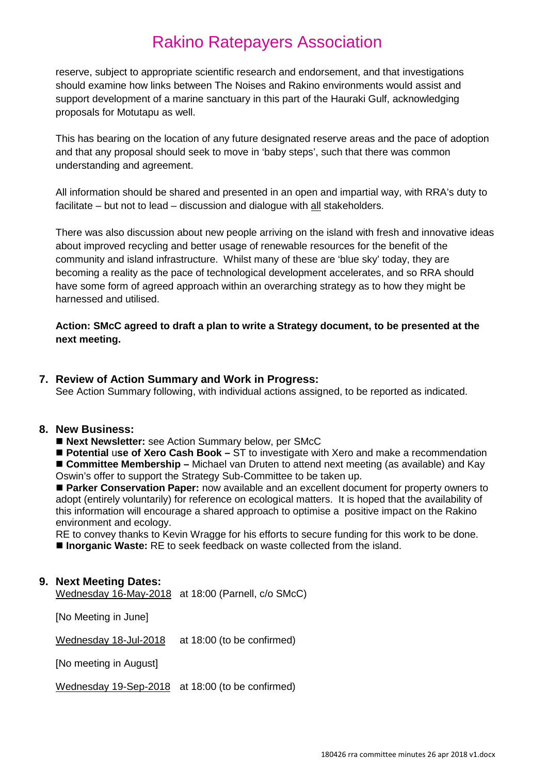reserve, subject to appropriate scientific research and endorsement, and that investigations should examine how links between The Noises and Rakino environments would assist and support development of a marine sanctuary in this part of the Hauraki Gulf, acknowledging proposals for Motutapu as well.

This has bearing on the location of any future designated reserve areas and the pace of adoption and that any proposal should seek to move in 'baby steps', such that there was common understanding and agreement.

All information should be shared and presented in an open and impartial way, with RRA's duty to facilitate – but not to lead – discussion and dialogue with  $all$  stakeholders.

There was also discussion about new people arriving on the island with fresh and innovative ideas about improved recycling and better usage of renewable resources for the benefit of the community and island infrastructure. Whilst many of these are 'blue sky' today, they are becoming a reality as the pace of technological development accelerates, and so RRA should have some form of agreed approach within an overarching strategy as to how they might be harnessed and utilised.

#### **Action: SMcC agreed to draft a plan to write a Strategy document, to be presented at the next meeting.**

#### **7. Review of Action Summary and Work in Progress:**

See Action Summary following, with individual actions assigned, to be reported as indicated.

#### **8. New Business:**

■ Next Newsletter: see Action Summary below, per SMcC

■ **Potential use of Xero Cash Book** – ST to investigate with Xero and make a recommendation

■ **Committee Membership** – Michael van Druten to attend next meeting (as available) and Kay Oswin's offer to support the Strategy Sub-Committee to be taken up.

■ Parker Conservation Paper: now available and an excellent document for property owners to adopt (entirely voluntarily) for reference on ecological matters. It is hoped that the availability of this information will encourage a shared approach to optimise a positive impact on the Rakino environment and ecology.

RE to convey thanks to Kevin Wragge for his efforts to secure funding for this work to be done. ■ **Inorganic Waste:** RE to seek feedback on waste collected from the island.

#### **9. Next Meeting Dates:**

Wednesday 16-May-2018 at 18:00 (Parnell, c/o SMcC)

[No Meeting in June]

Wednesday 18-Jul-2018 at 18:00 (to be confirmed)

[No meeting in August]

Wednesday 19-Sep-2018 at 18:00 (to be confirmed)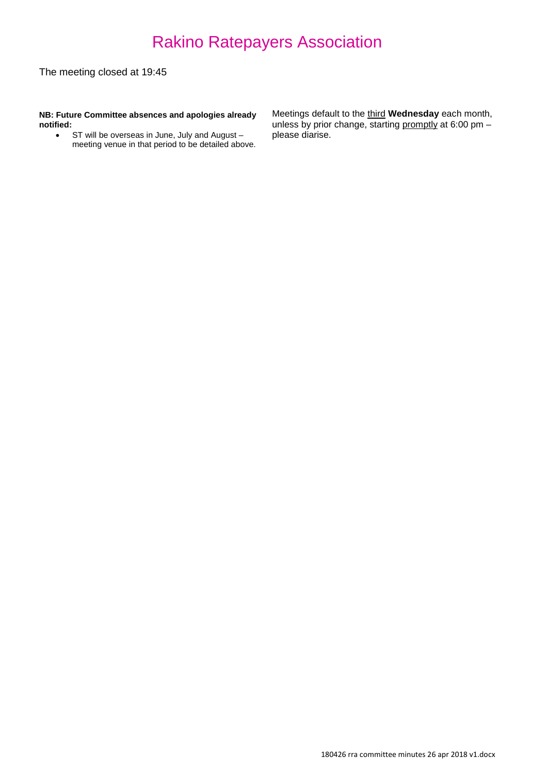The meeting closed at 19:45

**NB: Future Committee absences and apologies already notified:**

• ST will be overseas in June, July and August – meeting venue in that period to be detailed above. Meetings default to the third **Wednesday** each month, unless by prior change, starting promptly at 6:00 pm please diarise.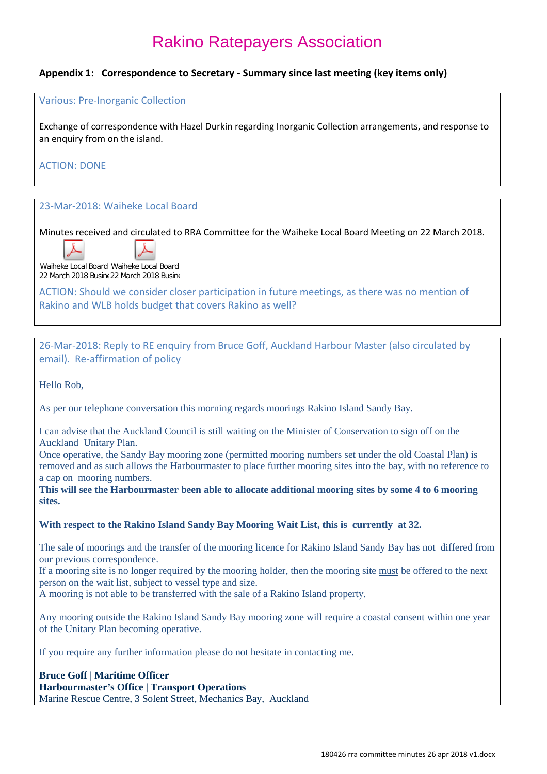#### **Appendix 1: Correspondence to Secretary - Summary since last meeting (key items only)**

#### Various: Pre-Inorganic Collection

Exchange of correspondence with Hazel Durkin regarding Inorganic Collection arrangements, and response to an enquiry from on the island.

#### ACTION: DONE

#### 23-Mar-2018: Waiheke Local Board

Minutes received and circulated to RRA Committee for the Waiheke Local Board Meeting on 22 March 2018.



Waiheke Local Board Waiheke Local Board 22 March 2018 Busine 22 March 2018 Busine

ACTION: Should we consider closer participation in future meetings, as there was no mention of Rakino and WLB holds budget that covers Rakino as well?

26-Mar-2018: Reply to RE enquiry from Bruce Goff, Auckland Harbour Master (also circulated by email). Re-affirmation of policy

Hello Rob,

As per our telephone conversation this morning regards moorings Rakino Island Sandy Bay.

I can advise that the Auckland Council is still waiting on the Minister of Conservation to sign off on the Auckland Unitary Plan.

Once operative, the Sandy Bay mooring zone (permitted mooring numbers set under the old Coastal Plan) is removed and as such allows the Harbourmaster to place further mooring sites into the bay, with no reference to a cap on mooring numbers.

**This will see the Harbourmaster been able to allocate additional mooring sites by some 4 to 6 mooring sites.**

#### **With respect to the Rakino Island Sandy Bay Mooring Wait List, this is currently at 32.**

The sale of moorings and the transfer of the mooring licence for Rakino Island Sandy Bay has not differed from our previous correspondence.

If a mooring site is no longer required by the mooring holder, then the mooring site must be offered to the next person on the wait list, subject to vessel type and size.

A mooring is not able to be transferred with the sale of a Rakino Island property.

Any mooring outside the Rakino Island Sandy Bay mooring zone will require a coastal consent within one year of the Unitary Plan becoming operative.

If you require any further information please do not hesitate in contacting me.

#### **Bruce Goff | Maritime Officer Harbourmaster's Office | Transport Operations** Marine Rescue Centre, 3 Solent Street, Mechanics Bay, Auckland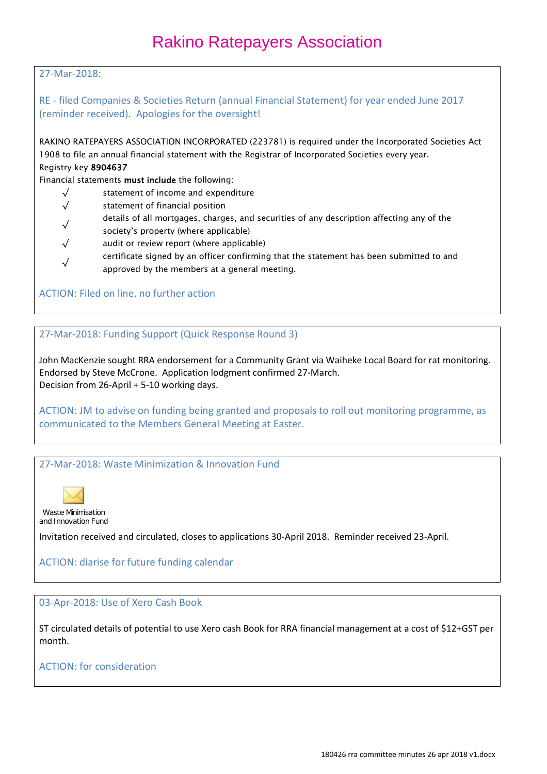#### 27-Mar-2018:

RE - filed Companies & Societies Return (annual Financial Statement) for year ended June 2017 (reminder received). Apologies for the oversight!

RAKINO RATEPAYERS ASSOCIATION INCORPORATED (223781) is required under the Incorporated Societies Act 1908 to file an annual financial statement with the Registrar of Incorporated Societies every year. Registry key 8904637

Financial statements must include the following:

- $\sqrt{\ }$  statement of income and expenditure
- √ statement of financial position
- <sup>√</sup> details of all mortgages, charges, and securities of any description affecting any of the
- society's property (where applicable)
- $\sqrt{\phantom{a}}$  audit or review report (where applicable)
- <sup>√</sup> certificate signed by an officer confirming that the statement has been submitted to and approved by the members at a general meeting.

#### ACTION: Filed on line, no further action

27-Mar-2018: Funding Support (Quick Response Round 3)

John MacKenzie sought RRA endorsement for a Community Grant via Waiheke Local Board for rat monitoring. Endorsed by Steve McCrone. Application lodgment confirmed 27-March. Decision from 26-April + 5-10 working days.

ACTION: JM to advise on funding being granted and proposals to roll out monitoring programme, as communicated to the Members General Meeting at Easter.

#### 27-Mar-2018: Waste Minimization & Innovation Fund



Waste Minimisation and Innovation Fund

Invitation received and circulated, closes to applications 30-April 2018. Reminder received 23-April.

#### ACTION: diarise for future funding calendar

#### 03-Apr-2018: Use of Xero Cash Book

ST circulated details of potential to use Xero cash Book for RRA financial management at a cost of \$12+GST per month.

#### ACTION: for consideration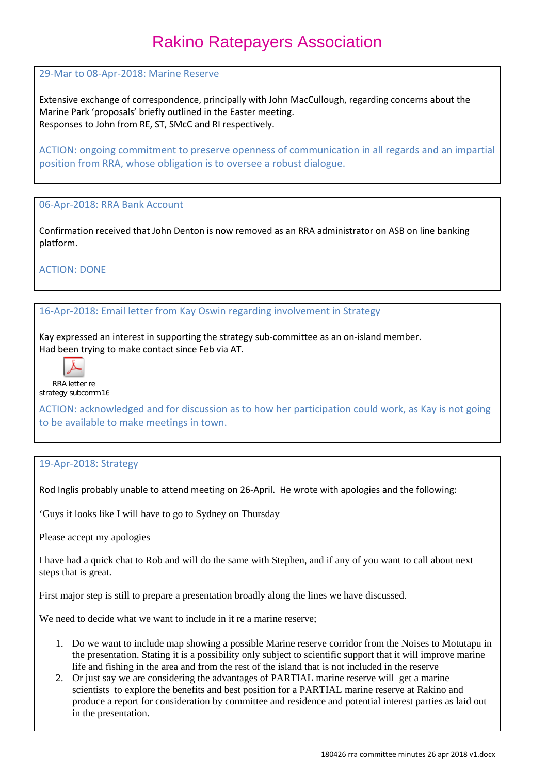29-Mar to 08-Apr-2018: Marine Reserve

Extensive exchange of correspondence, principally with John MacCullough, regarding concerns about the Marine Park 'proposals' briefly outlined in the Easter meeting. Responses to John from RE, ST, SMcC and RI respectively.

ACTION: ongoing commitment to preserve openness of communication in all regards and an impartial position from RRA, whose obligation is to oversee a robust dialogue.

#### 06-Apr-2018: RRA Bank Account

Confirmation received that John Denton is now removed as an RRA administrator on ASB on line banking platform.

ACTION: DONE

#### 16-Apr-2018: Email letter from Kay Oswin regarding involvement in Strategy

Kay expressed an interest in supporting the strategy sub-committee as an on-island member. Had been trying to make contact since Feb via AT.



RRA letter re strategy subcomm 16

ACTION: acknowledged and for discussion as to how her participation could work, as Kay is not going to be available to make meetings in town.

#### 19-Apr-2018: Strategy

Rod Inglis probably unable to attend meeting on 26-April. He wrote with apologies and the following:

'Guys it looks like I will have to go to Sydney on Thursday

Please accept my apologies

I have had a quick chat to Rob and will do the same with Stephen, and if any of you want to call about next steps that is great.

First major step is still to prepare a presentation broadly along the lines we have discussed.

We need to decide what we want to include in it re a marine reserve;

- 1. Do we want to include map showing a possible Marine reserve corridor from the Noises to Motutapu in the presentation. Stating it is a possibility only subject to scientific support that it will improve marine life and fishing in the area and from the rest of the island that is not included in the reserve
- 2. Or just say we are considering the advantages of PARTIAL marine reserve will get a marine scientists to explore the benefits and best position for a PARTIAL marine reserve at Rakino and produce a report for consideration by committee and residence and potential interest parties as laid out in the presentation.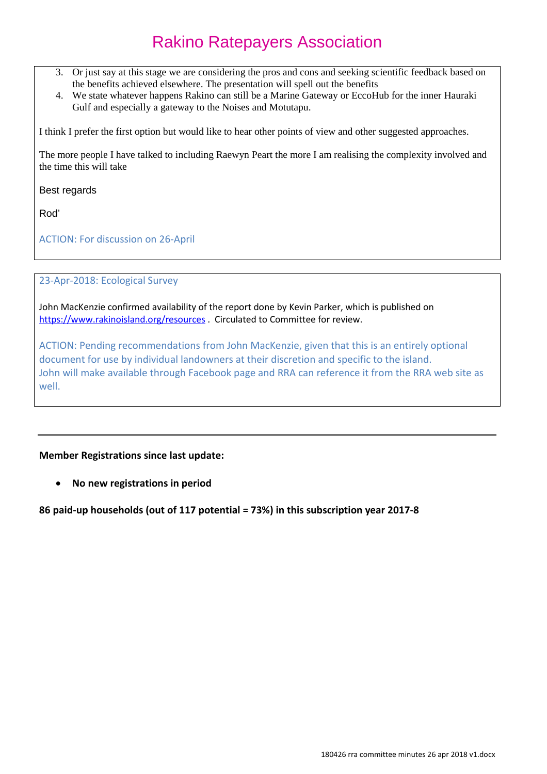- 3. Or just say at this stage we are considering the pros and cons and seeking scientific feedback based on the benefits achieved elsewhere. The presentation will spell out the benefits
- 4. We state whatever happens Rakino can still be a Marine Gateway or EccoHub for the inner Hauraki Gulf and especially a gateway to the Noises and Motutapu.

I think I prefer the first option but would like to hear other points of view and other suggested approaches.

The more people I have talked to including Raewyn Peart the more I am realising the complexity involved and the time this will take

Best regards

Rod'

ACTION: For discussion on 26-April

23-Apr-2018: Ecological Survey

John MacKenzie confirmed availability of the report done by Kevin Parker, which is published on <https://www.rakinoisland.org/resources> . Circulated to Committee for review.

ACTION: Pending recommendations from John MacKenzie, given that this is an entirely optional document for use by individual landowners at their discretion and specific to the island. John will make available through Facebook page and RRA can reference it from the RRA web site as well.

**Member Registrations since last update:**

• **No new registrations in period**

**86 paid-up households (out of 117 potential = 73%) in this subscription year 2017-8**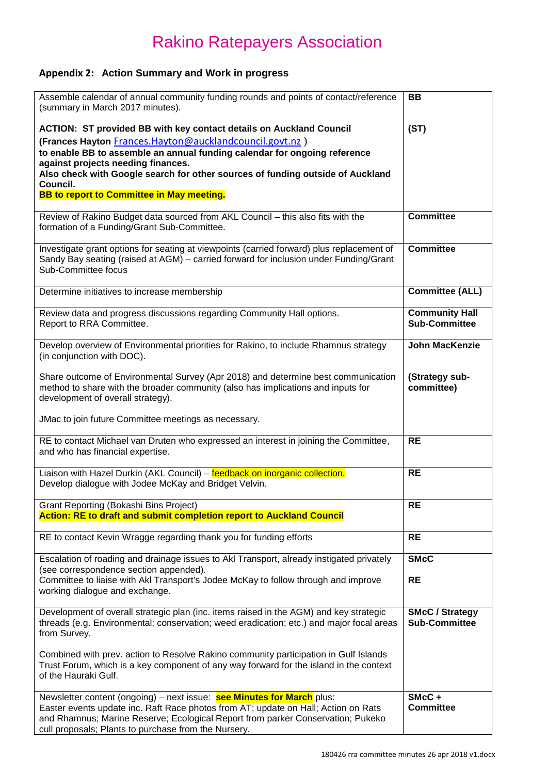### **Appendix 2: Action Summary and Work in progress**

| Assemble calendar of annual community funding rounds and points of contact/reference<br>(summary in March 2017 minutes).                                                                                                                                                                                                                                                                                   | BB                                             |
|------------------------------------------------------------------------------------------------------------------------------------------------------------------------------------------------------------------------------------------------------------------------------------------------------------------------------------------------------------------------------------------------------------|------------------------------------------------|
| <b>ACTION: ST provided BB with key contact details on Auckland Council</b><br>(Frances Hayton Frances.Hayton@aucklandcouncil.govt.nz)<br>to enable BB to assemble an annual funding calendar for ongoing reference<br>against projects needing finances.<br>Also check with Google search for other sources of funding outside of Auckland<br>Council.<br><b>BB to report to Committee in May meeting.</b> | (ST)                                           |
| Review of Rakino Budget data sourced from AKL Council - this also fits with the<br>formation of a Funding/Grant Sub-Committee.                                                                                                                                                                                                                                                                             | <b>Committee</b>                               |
| Investigate grant options for seating at viewpoints (carried forward) plus replacement of<br>Sandy Bay seating (raised at AGM) - carried forward for inclusion under Funding/Grant<br>Sub-Committee focus                                                                                                                                                                                                  | <b>Committee</b>                               |
| Determine initiatives to increase membership                                                                                                                                                                                                                                                                                                                                                               | <b>Committee (ALL)</b>                         |
| Review data and progress discussions regarding Community Hall options.<br>Report to RRA Committee.                                                                                                                                                                                                                                                                                                         | <b>Community Hall</b><br><b>Sub-Committee</b>  |
| Develop overview of Environmental priorities for Rakino, to include Rhamnus strategy<br>(in conjunction with DOC).                                                                                                                                                                                                                                                                                         | <b>John MacKenzie</b>                          |
| Share outcome of Environmental Survey (Apr 2018) and determine best communication<br>method to share with the broader community (also has implications and inputs for<br>development of overall strategy).                                                                                                                                                                                                 | (Strategy sub-<br>committee)                   |
| JMac to join future Committee meetings as necessary.                                                                                                                                                                                                                                                                                                                                                       |                                                |
| RE to contact Michael van Druten who expressed an interest in joining the Committee,<br>and who has financial expertise.                                                                                                                                                                                                                                                                                   | <b>RE</b>                                      |
| Liaison with Hazel Durkin (AKL Council) - feedback on inorganic collection.<br>Develop dialogue with Jodee McKay and Bridget Velvin.                                                                                                                                                                                                                                                                       | <b>RE</b>                                      |
| <b>Grant Reporting (Bokashi Bins Project)</b><br><b>Action: RE to draft and submit completion report to Auckland Council</b>                                                                                                                                                                                                                                                                               | <b>RE</b>                                      |
| RE to contact Kevin Wragge regarding thank you for funding efforts                                                                                                                                                                                                                                                                                                                                         | <b>RE</b>                                      |
| Escalation of roading and drainage issues to AkI Transport, already instigated privately<br>(see correspondence section appended).<br>Committee to liaise with Akl Transport's Jodee McKay to follow through and improve<br>working dialogue and exchange.                                                                                                                                                 | <b>SMcC</b><br><b>RE</b>                       |
| Development of overall strategic plan (inc. items raised in the AGM) and key strategic<br>threads (e.g. Environmental; conservation; weed eradication; etc.) and major focal areas<br>from Survey.                                                                                                                                                                                                         | <b>SMcC / Strategy</b><br><b>Sub-Committee</b> |
| Combined with prev. action to Resolve Rakino community participation in Gulf Islands<br>Trust Forum, which is a key component of any way forward for the island in the context<br>of the Hauraki Gulf.                                                                                                                                                                                                     |                                                |
| Newsletter content (ongoing) – next issue: see Minutes for March plus:<br>Easter events update inc. Raft Race photos from AT; update on Hall; Action on Rats<br>and Rhamnus; Marine Reserve; Ecological Report from parker Conservation; Pukeko<br>cull proposals; Plants to purchase from the Nursery.                                                                                                    | SMcC+<br><b>Committee</b>                      |